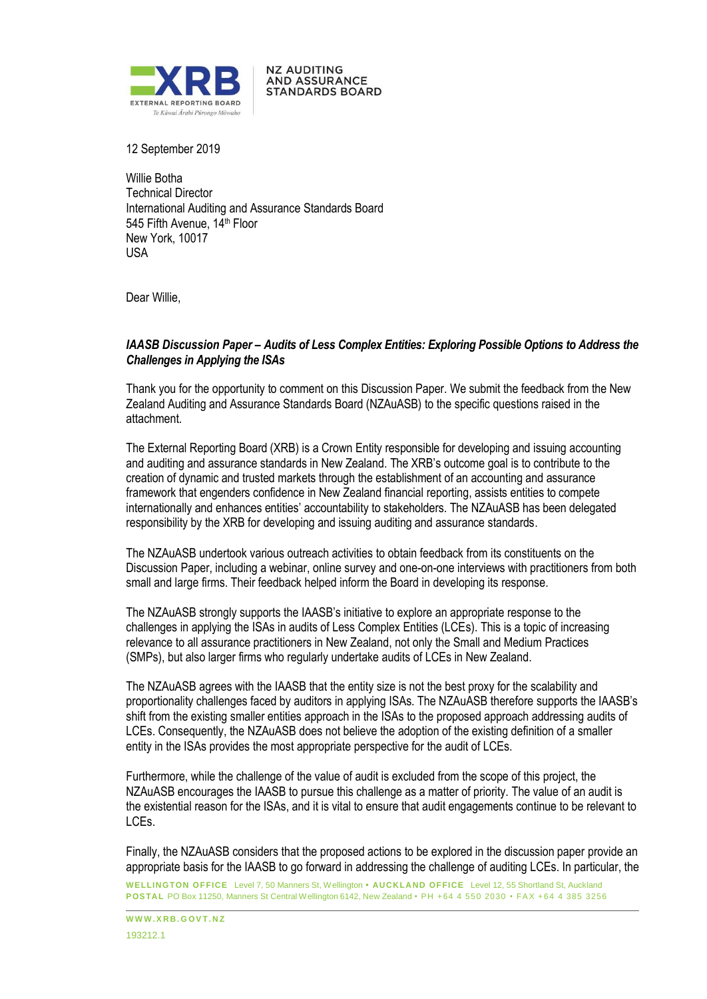

**NZ AUDITING AND ASSURANCE STANDARDS BOARD** 

12 September 2019

Willie Botha Technical Director International Auditing and Assurance Standards Board 545 Fifth Avenue, 14<sup>th</sup> Floor New York, 10017 USA

Dear Willie,

## *IAASB Discussion Paper – Audits of Less Complex Entities: Exploring Possible Options to Address the Challenges in Applying the ISAs*

Thank you for the opportunity to comment on this Discussion Paper. We submit the feedback from the New Zealand Auditing and Assurance Standards Board (NZAuASB) to the specific questions raised in the attachment.

The External Reporting Board (XRB) is a Crown Entity responsible for developing and issuing accounting and auditing and assurance standards in New Zealand. The XRB's outcome goal is to contribute to the creation of dynamic and trusted markets through the establishment of an accounting and assurance framework that engenders confidence in New Zealand financial reporting, assists entities to compete internationally and enhances entities' accountability to stakeholders. The NZAuASB has been delegated responsibility by the XRB for developing and issuing auditing and assurance standards.

The NZAuASB undertook various outreach activities to obtain feedback from its constituents on the Discussion Paper, including a webinar, online survey and one-on-one interviews with practitioners from both small and large firms. Their feedback helped inform the Board in developing its response.

The NZAuASB strongly supports the IAASB's initiative to explore an appropriate response to the challenges in applying the ISAs in audits of Less Complex Entities (LCEs). This is a topic of increasing relevance to all assurance practitioners in New Zealand, not only the Small and Medium Practices (SMPs), but also larger firms who regularly undertake audits of LCEs in New Zealand.

The NZAuASB agrees with the IAASB that the entity size is not the best proxy for the scalability and proportionality challenges faced by auditors in applying ISAs. The NZAuASB therefore supports the IAASB's shift from the existing smaller entities approach in the ISAs to the proposed approach addressing audits of LCEs. Consequently, the NZAuASB does not believe the adoption of the existing definition of a smaller entity in the ISAs provides the most appropriate perspective for the audit of LCEs.

Furthermore, while the challenge of the value of audit is excluded from the scope of this project, the NZAuASB encourages the IAASB to pursue this challenge as a matter of priority. The value of an audit is the existential reason for the ISAs, and it is vital to ensure that audit engagements continue to be relevant to LCEs.

Finally, the NZAuASB considers that the proposed actions to be explored in the discussion paper provide an appropriate basis for the IAASB to go forward in addressing the challenge of auditing LCEs. In particular, the

**WELLINGTON OFFICE** Level 7, 50 Manners St, Wellington **• AUCKLA ND OFFICE** Level 12, 55 Shortland St, Auckland **POSTAL** PO Box 11250, Manners St Central Wellington 6142, New Zealand • PH + 64 4 550 2030 • FAX + 64 4 385 3256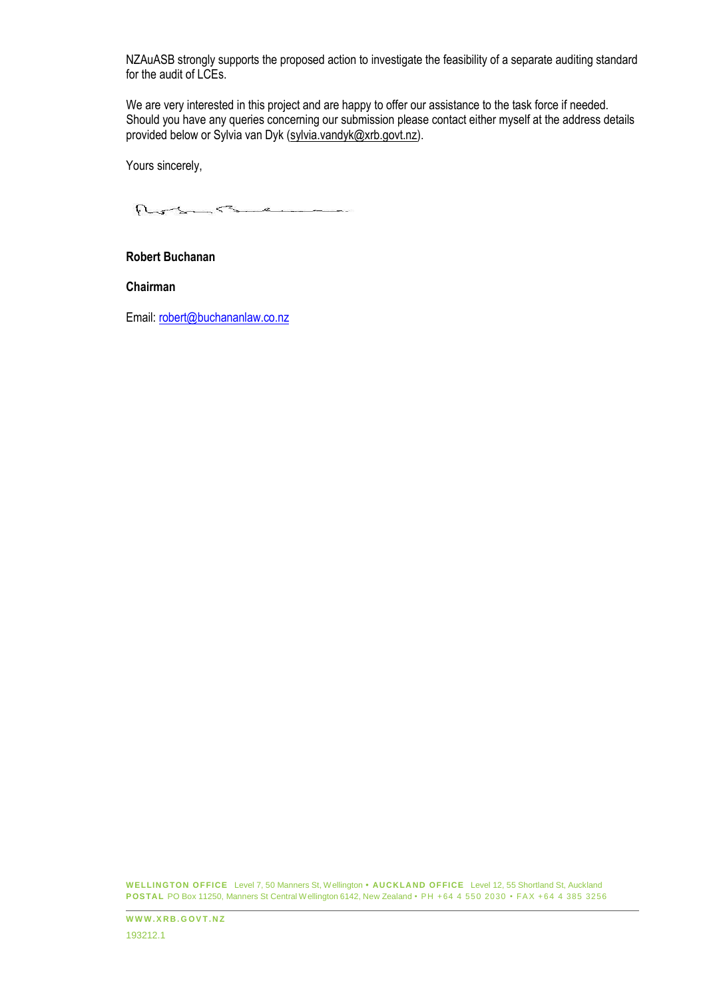NZAuASB strongly supports the proposed action to investigate the feasibility of a separate auditing standard for the audit of LCEs.

We are very interested in this project and are happy to offer our assistance to the task force if needed. Should you have any queries concerning our submission please contact either myself at the address details provided below or Sylvia van Dyk (sylvia.vandyk@xrb.govt.nz).

Yours sincerely,

Roberts e

### **Robert Buchanan**

**Chairman**

Email: [robert@buchananlaw.co.nz](mailto:robert@buchananlaw.co.nz)

**WELLINGTON OFFICE** Level 7, 50 Manners St, Wellington **• AUCKLA ND OFFICE** Level 12, 55 Shortland St, Auckland **POSTAL** PO Box 11250, Manners St Central Wellington 6142, New Zealand • PH + 64 4 550 2030 • FAX + 64 4 385 3256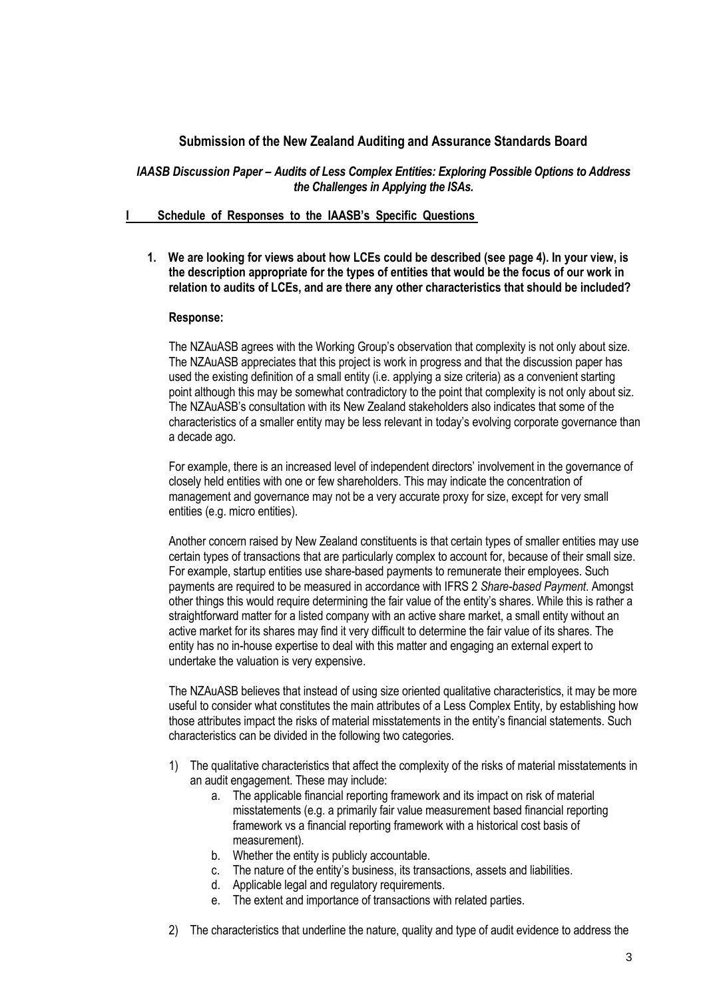# **Submission of the New Zealand Auditing and Assurance Standards Board**

## *IAASB Discussion Paper – Audits of Less Complex Entities: Exploring Possible Options to Address the Challenges in Applying the ISAs.*

## **I Schedule of Responses to the IAASB's Specific Questions**

**1. We are looking for views about how LCEs could be described (see page 4). In your view, is the description appropriate for the types of entities that would be the focus of our work in relation to audits of LCEs, and are there any other characteristics that should be included?**

## **Response:**

The NZAuASB agrees with the Working Group's observation that complexity is not only about size. The NZAuASB appreciates that this project is work in progress and that the discussion paper has used the existing definition of a small entity (i.e. applying a size criteria) as a convenient starting point although this may be somewhat contradictory to the point that complexity is not only about siz. The NZAuASB's consultation with its New Zealand stakeholders also indicates that some of the characteristics of a smaller entity may be less relevant in today's evolving corporate governance than a decade ago.

For example, there is an increased level of independent directors' involvement in the governance of closely held entities with one or few shareholders. This may indicate the concentration of management and governance may not be a very accurate proxy for size, except for very small entities (e.g. micro entities).

Another concern raised by New Zealand constituents is that certain types of smaller entities may use certain types of transactions that are particularly complex to account for, because of their small size. For example, startup entities use share-based payments to remunerate their employees. Such payments are required to be measured in accordance with IFRS 2 *Share-based Payment*. Amongst other things this would require determining the fair value of the entity's shares. While this is rather a straightforward matter for a listed company with an active share market, a small entity without an active market for its shares may find it very difficult to determine the fair value of its shares. The entity has no in-house expertise to deal with this matter and engaging an external expert to undertake the valuation is very expensive.

The NZAuASB believes that instead of using size oriented qualitative characteristics, it may be more useful to consider what constitutes the main attributes of a Less Complex Entity, by establishing how those attributes impact the risks of material misstatements in the entity's financial statements. Such characteristics can be divided in the following two categories.

- 1) The qualitative characteristics that affect the complexity of the risks of material misstatements in an audit engagement. These may include:
	- a. The applicable financial reporting framework and its impact on risk of material misstatements (e.g. a primarily fair value measurement based financial reporting framework vs a financial reporting framework with a historical cost basis of measurement).
	- b. Whether the entity is publicly accountable.
	- c. The nature of the entity's business, its transactions, assets and liabilities.
	- d. Applicable legal and regulatory requirements.
	- e. The extent and importance of transactions with related parties.
- 2) The characteristics that underline the nature, quality and type of audit evidence to address the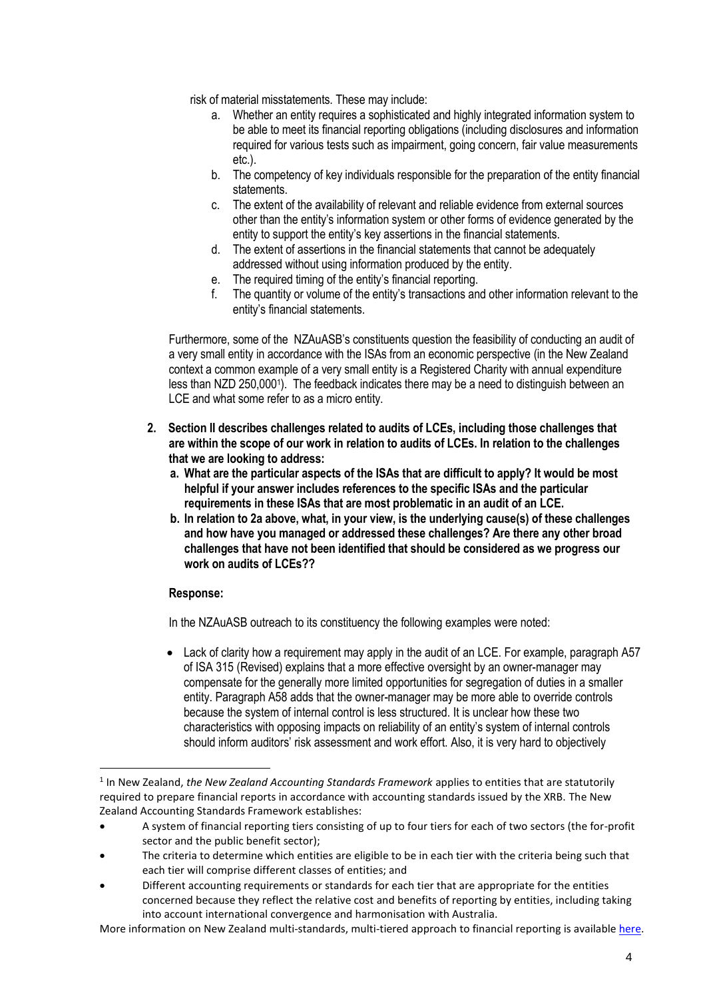risk of material misstatements. These may include:

- a. Whether an entity requires a sophisticated and highly integrated information system to be able to meet its financial reporting obligations (including disclosures and information required for various tests such as impairment, going concern, fair value measurements etc.).
- b. The competency of key individuals responsible for the preparation of the entity financial statements.
- c. The extent of the availability of relevant and reliable evidence from external sources other than the entity's information system or other forms of evidence generated by the entity to support the entity's key assertions in the financial statements.
- d. The extent of assertions in the financial statements that cannot be adequately addressed without using information produced by the entity.
- e. The required timing of the entity's financial reporting.
- f. The quantity or volume of the entity's transactions and other information relevant to the entity's financial statements.

Furthermore, some of the NZAuASB's constituents question the feasibility of conducting an audit of a very small entity in accordance with the ISAs from an economic perspective (in the New Zealand context a common example of a very small entity is a Registered Charity with annual expenditure less than NZD 250,0001). The feedback indicates there may be a need to distinguish between an LCE and what some refer to as a micro entity.

- **2. Section II describes challenges related to audits of LCEs, including those challenges that are within the scope of our work in relation to audits of LCEs. In relation to the challenges that we are looking to address:**
	- **a. What are the particular aspects of the ISAs that are difficult to apply? It would be most helpful if your answer includes references to the specific ISAs and the particular requirements in these ISAs that are most problematic in an audit of an LCE.**
	- **b. In relation to 2a above, what, in your view, is the underlying cause(s) of these challenges and how have you managed or addressed these challenges? Are there any other broad challenges that have not been identified that should be considered as we progress our work on audits of LCEs??**

## **Response:**

-

In the NZAuASB outreach to its constituency the following examples were noted:

• Lack of clarity how a requirement may apply in the audit of an LCE. For example, paragraph A57 of ISA 315 (Revised) explains that a more effective oversight by an owner-manager may compensate for the generally more limited opportunities for segregation of duties in a smaller entity. Paragraph A58 adds that the owner-manager may be more able to override controls because the system of internal control is less structured. It is unclear how these two characteristics with opposing impacts on reliability of an entity's system of internal controls should inform auditors' risk assessment and work effort. Also, it is very hard to objectively

More information on New Zealand multi-standards, multi-tiered approach to financial reporting is available [here.](https://www.xrb.govt.nz/reporting-requirements/accounting-standards-framework/)

<sup>1</sup> In New Zealand, *the New Zealand Accounting Standards Framework* applies to entities that are statutorily required to prepare financial reports in accordance with accounting standards issued by the XRB. The New Zealand Accounting Standards Framework establishes:

<sup>•</sup> A system of financial reporting tiers consisting of up to four tiers for each of two sectors (the for-profit sector and the public benefit sector);

<sup>•</sup> The criteria to determine which entities are eligible to be in each tier with the criteria being such that each tier will comprise different classes of entities; and

<sup>•</sup> Different accounting requirements or standards for each tier that are appropriate for the entities concerned because they reflect the relative cost and benefits of reporting by entities, including taking into account international convergence and harmonisation with Australia.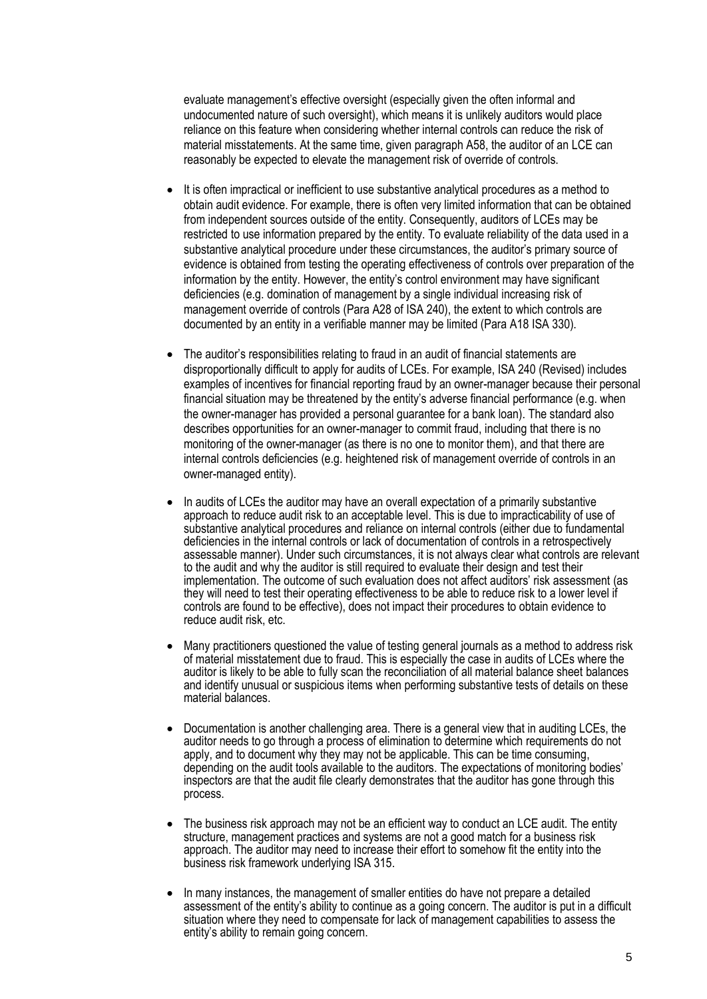evaluate management's effective oversight (especially given the often informal and undocumented nature of such oversight), which means it is unlikely auditors would place reliance on this feature when considering whether internal controls can reduce the risk of material misstatements. At the same time, given paragraph A58, the auditor of an LCE can reasonably be expected to elevate the management risk of override of controls.

- It is often impractical or inefficient to use substantive analytical procedures as a method to obtain audit evidence. For example, there is often very limited information that can be obtained from independent sources outside of the entity. Consequently, auditors of LCEs may be restricted to use information prepared by the entity. To evaluate reliability of the data used in a substantive analytical procedure under these circumstances, the auditor's primary source of evidence is obtained from testing the operating effectiveness of controls over preparation of the information by the entity. However, the entity's control environment may have significant deficiencies (e.g. domination of management by a single individual increasing risk of management override of controls (Para A28 of ISA 240), the extent to which controls are documented by an entity in a verifiable manner may be limited (Para A18 ISA 330).
- The auditor's responsibilities relating to fraud in an audit of financial statements are disproportionally difficult to apply for audits of LCEs. For example, ISA 240 (Revised) includes examples of incentives for financial reporting fraud by an owner-manager because their personal financial situation may be threatened by the entity's adverse financial performance (e.g. when the owner-manager has provided a personal guarantee for a bank loan). The standard also describes opportunities for an owner-manager to commit fraud, including that there is no monitoring of the owner-manager (as there is no one to monitor them), and that there are internal controls deficiencies (e.g. heightened risk of management override of controls in an owner-managed entity).
- In audits of LCEs the auditor may have an overall expectation of a primarily substantive approach to reduce audit risk to an acceptable level. This is due to impracticability of use of substantive analytical procedures and reliance on internal controls (either due to fundamental deficiencies in the internal controls or lack of documentation of controls in a retrospectively assessable manner). Under such circumstances, it is not always clear what controls are relevant to the audit and why the auditor is still required to evaluate their design and test their implementation. The outcome of such evaluation does not affect auditors' risk assessment (as they will need to test their operating effectiveness to be able to reduce risk to a lower level if controls are found to be effective), does not impact their procedures to obtain evidence to reduce audit risk, etc.
- Many practitioners questioned the value of testing general journals as a method to address risk of material misstatement due to fraud. This is especially the case in audits of LCEs where the auditor is likely to be able to fully scan the reconciliation of all material balance sheet balances and identify unusual or suspicious items when performing substantive tests of details on these material balances.
- Documentation is another challenging area. There is a general view that in auditing LCEs, the auditor needs to go through a process of elimination to determine which requirements do not apply, and to document why they may not be applicable. This can be time consuming, depending on the audit tools available to the auditors. The expectations of monitoring bodies' inspectors are that the audit file clearly demonstrates that the auditor has gone through this process.
- The business risk approach may not be an efficient way to conduct an LCE audit. The entity structure, management practices and systems are not a good match for a business risk approach. The auditor may need to increase their effort to somehow fit the entity into the business risk framework underlying ISA 315.
- In many instances, the management of smaller entities do have not prepare a detailed assessment of the entity's ability to continue as a going concern. The auditor is put in a difficult situation where they need to compensate for lack of management capabilities to assess the entity's ability to remain going concern.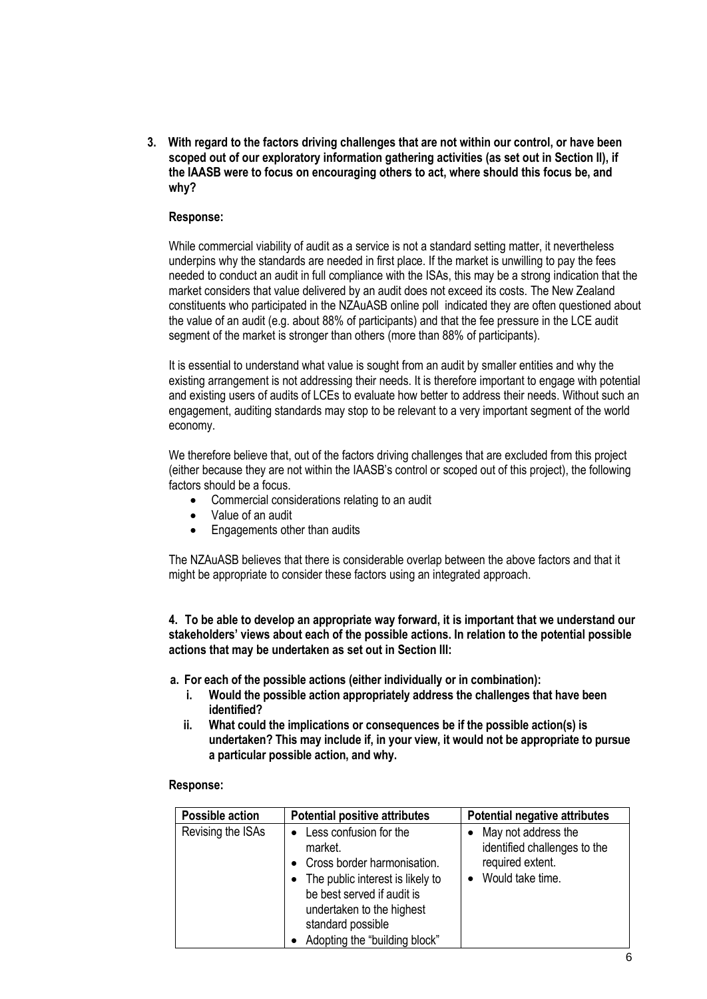**3. With regard to the factors driving challenges that are not within our control, or have been scoped out of our exploratory information gathering activities (as set out in Section II), if the IAASB were to focus on encouraging others to act, where should this focus be, and why?**

## **Response:**

While commercial viability of audit as a service is not a standard setting matter, it nevertheless underpins why the standards are needed in first place. If the market is unwilling to pay the fees needed to conduct an audit in full compliance with the ISAs, this may be a strong indication that the market considers that value delivered by an audit does not exceed its costs. The New Zealand constituents who participated in the NZAuASB online poll indicated they are often questioned about the value of an audit (e.g. about 88% of participants) and that the fee pressure in the LCE audit segment of the market is stronger than others (more than 88% of participants).

It is essential to understand what value is sought from an audit by smaller entities and why the existing arrangement is not addressing their needs. It is therefore important to engage with potential and existing users of audits of LCEs to evaluate how better to address their needs. Without such an engagement, auditing standards may stop to be relevant to a very important segment of the world economy.

We therefore believe that, out of the factors driving challenges that are excluded from this project (either because they are not within the IAASB's control or scoped out of this project), the following factors should be a focus.

- Commercial considerations relating to an audit
- Value of an audit
- Engagements other than audits

The NZAuASB believes that there is considerable overlap between the above factors and that it might be appropriate to consider these factors using an integrated approach.

**4. To be able to develop an appropriate way forward, it is important that we understand our stakeholders' views about each of the possible actions. In relation to the potential possible actions that may be undertaken as set out in Section III:**

**a. For each of the possible actions (either individually or in combination):**

- **i. Would the possible action appropriately address the challenges that have been identified?**
- **ii. What could the implications or consequences be if the possible action(s) is undertaken? This may include if, in your view, it would not be appropriate to pursue a particular possible action, and why.**

### **Response:**

| <b>Possible action</b> | <b>Potential positive attributes</b>                                                                                                                                                                                               | <b>Potential negative attributes</b>                                                        |
|------------------------|------------------------------------------------------------------------------------------------------------------------------------------------------------------------------------------------------------------------------------|---------------------------------------------------------------------------------------------|
| Revising the ISAs      | Less confusion for the<br>market.<br>Cross border harmonisation.<br>The public interest is likely to<br>$\bullet$<br>be best served if audit is<br>undertaken to the highest<br>standard possible<br>Adopting the "building block" | May not address the<br>identified challenges to the<br>required extent.<br>Would take time. |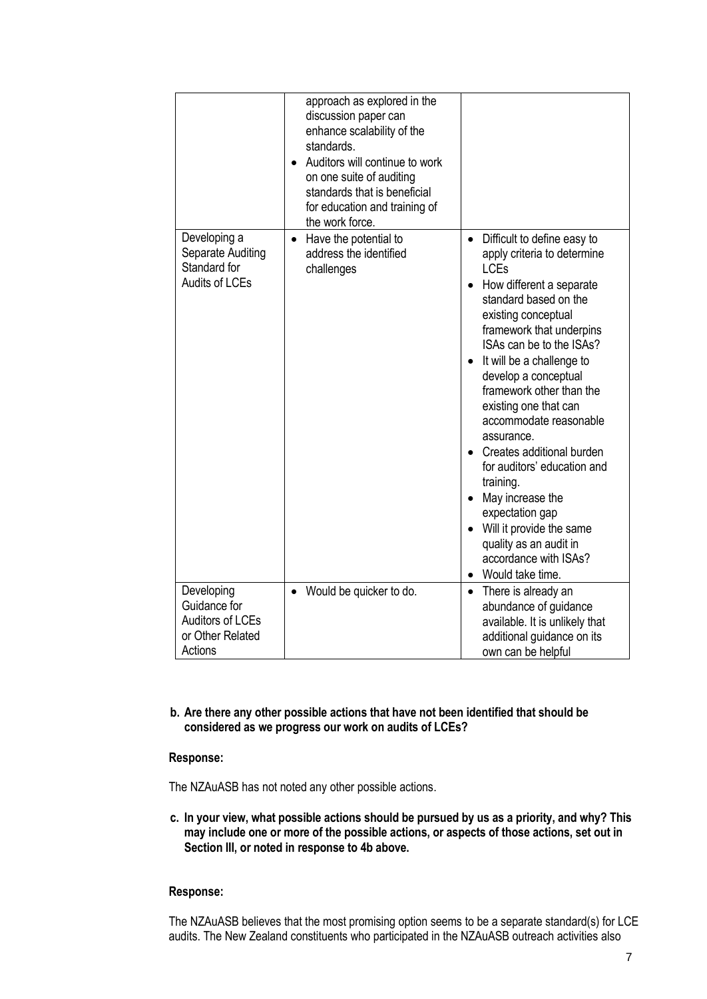|                                                                            | approach as explored in the<br>discussion paper can<br>enhance scalability of the<br>standards.<br>Auditors will continue to work<br>on one suite of auditing<br>standards that is beneficial<br>for education and training of<br>the work force. |                                                                                                                                                                                                                                                                                                                                                                                                                                                                                                                                                                                                 |
|----------------------------------------------------------------------------|---------------------------------------------------------------------------------------------------------------------------------------------------------------------------------------------------------------------------------------------------|-------------------------------------------------------------------------------------------------------------------------------------------------------------------------------------------------------------------------------------------------------------------------------------------------------------------------------------------------------------------------------------------------------------------------------------------------------------------------------------------------------------------------------------------------------------------------------------------------|
| Developing a<br>Separate Auditing<br>Standard for<br><b>Audits of LCEs</b> | Have the potential to<br>address the identified<br>challenges                                                                                                                                                                                     | Difficult to define easy to<br>$\bullet$<br>apply criteria to determine<br><b>LCEs</b><br>How different a separate<br>standard based on the<br>existing conceptual<br>framework that underpins<br>ISAs can be to the ISAs?<br>It will be a challenge to<br>develop a conceptual<br>framework other than the<br>existing one that can<br>accommodate reasonable<br>assurance.<br>Creates additional burden<br>for auditors' education and<br>training.<br>May increase the<br>expectation gap<br>Will it provide the same<br>quality as an audit in<br>accordance with ISAs?<br>Would take time. |
| Developing                                                                 | Would be quicker to do.                                                                                                                                                                                                                           | There is already an<br>$\bullet$                                                                                                                                                                                                                                                                                                                                                                                                                                                                                                                                                                |
| Guidance for<br><b>Auditors of LCEs</b><br>or Other Related<br>Actions     |                                                                                                                                                                                                                                                   | abundance of guidance<br>available. It is unlikely that<br>additional guidance on its<br>own can be helpful                                                                                                                                                                                                                                                                                                                                                                                                                                                                                     |

**b. Are there any other possible actions that have not been identified that should be considered as we progress our work on audits of LCEs?**

### **Response:**

The NZAuASB has not noted any other possible actions.

**c. In your view, what possible actions should be pursued by us as a priority, and why? This may include one or more of the possible actions, or aspects of those actions, set out in Section III, or noted in response to 4b above.**

## **Response:**

The NZAuASB believes that the most promising option seems to be a separate standard(s) for LCE audits. The New Zealand constituents who participated in the NZAuASB outreach activities also